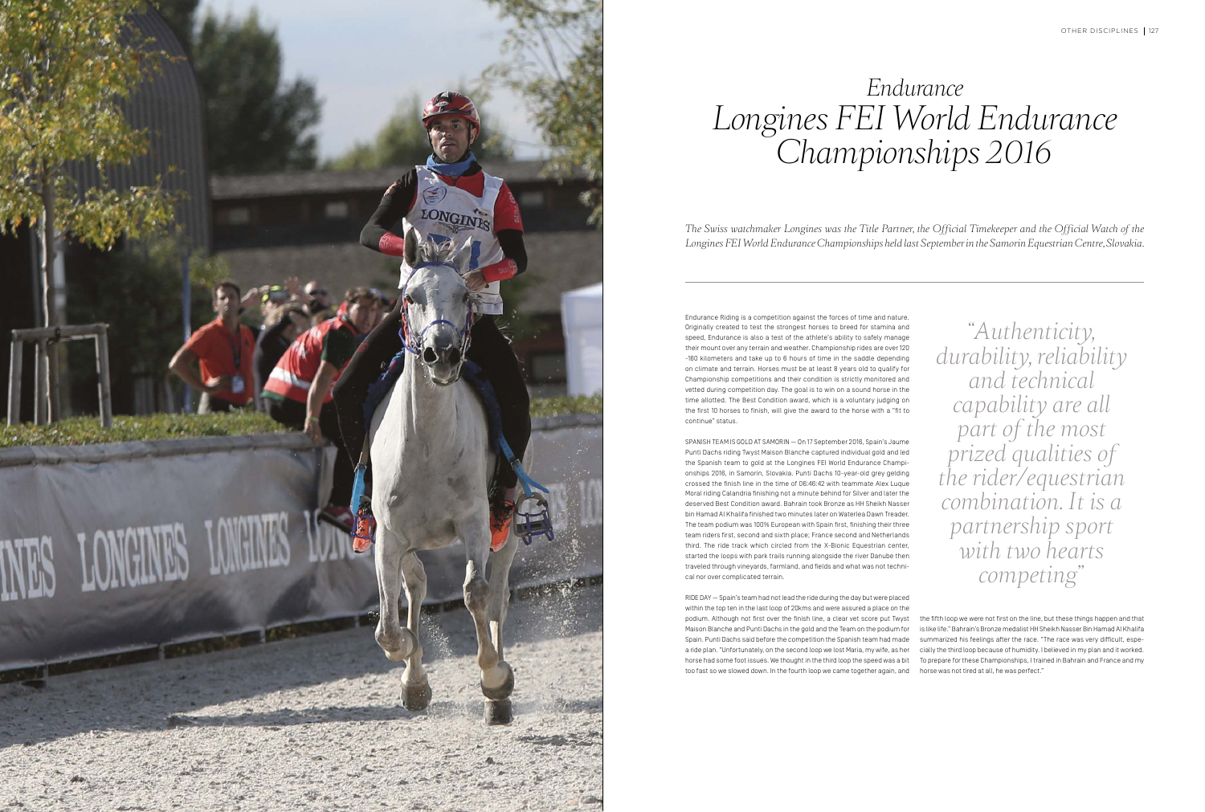



Endurance Riding is a competition against the forces of time and nature. Originally created to test the strongest horses to breed for stamina and speed, Endurance is also a test of the athlete's ability to safely manage their mount over any terrain and weather. Championship rides are over 120 -160 kilometers and take up to 6 hours of time in the saddle depending on climate and terrain. Horses must be at least 8 years old to qualify for Championship competitions and their condition is strictly monitored and vetted during competition day. The goal is to win on a sound horse in the time allotted. The Best Condition award, which is a voluntary judging on the first 10 horses to finish, will give the award to the horse with a "fit to continue" status.

SPANISH TEAM IS GOLD AT SAMORIN — On 17 September 2016, Spain's Jaume Punti Dachs riding Twyst Maison Blanche captured individual gold and led the Spanish team to gold at the Longines FEI World Endurance Championships 2016, in Samorin, Slovakia. Punti Dachs 10-year-old grey gelding crossed the finish line in the time of 06:46:42 with teammate Alex Luque Moral riding Calandria finishing not a minute behind for Silver and later the deserved Best Condition award. Bahrain took Bronze as HH Sheikh Nasser bin Hamad Al Khalifa finished two minutes later on Waterlea Dawn Treader. The team podium was 100% European with Spain first, finishing their three team riders first, second and sixth place; France second and Netherlands third. The ride track which circled from the X-Bionic Equestrian center, started the loops with park trails running alongside the river Danube then traveled through vineyards, farmland, and fields and what was not technical nor over complicated terrain.

RIDE DAY — Spain's team had not lead the ride during the day but were placed within the top ten in the last loop of 20kms and were assured a place on the podium. Although not first over the finish line, a clear vet score put Twyst Maison Blanche and Punti Dachs in the gold and the Team on the podium for is like life." Bahrain's Bronze medalist HH Sheikh Nasser Bin Hamad Al Khalifa Spain. Punti Dachs said before the competition the Spanish team had made a ride plan. "Unfortunately, on the second loop we lost Maria, my wife, as her cially the third loop because of humidity. I believed in my plan and it worked. horse had some foot issues. We thought in the third loop the speed was a bit To prepare for these Championships, I trained in Bahrain and France and my too fast so we slowed down. In the fourth loop we came together again, and the fifth loop we were not first on the line, but these things happen and that summarized his feelings after the race. "The race was very difficult, espehorse was not tired at all, he was perfect ."

*"Authenticity, durability, reliability and technical capability are all part of the most prized qualities of the rider/equestrian combination. It is a partnership sport with two hearts competing"*

## *Endurance Longines FEI World Endurance Championships 2016*

*The Swiss watchmaker Longines was the Title Partner, the Official Timekeeper and the Official Watch of the Longines FEI World Endurance Championships held last September in the Samorin Equestrian Centre, Slovakia.*